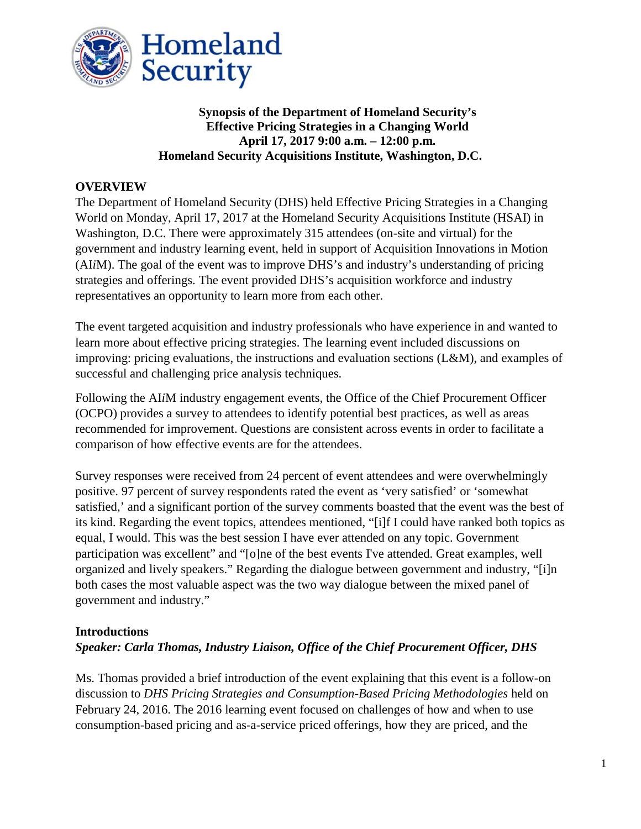

# **Synopsis of the Department of Homeland Security's Effective Pricing Strategies in a Changing World April 17, 2017 9:00 a.m. – 12:00 p.m. Homeland Security Acquisitions Institute, Washington, D.C.**

## **OVERVIEW**

The Department of Homeland Security (DHS) held Effective Pricing Strategies in a Changing World on Monday, April 17, 2017 at the Homeland Security Acquisitions Institute (HSAI) in Washington, D.C. There were approximately 315 attendees (on-site and virtual) for the government and industry learning event, held in support of Acquisition Innovations in Motion (AI*i*M). The goal of the event was to improve DHS's and industry's understanding of pricing strategies and offerings. The event provided DHS's acquisition workforce and industry representatives an opportunity to learn more from each other.

The event targeted acquisition and industry professionals who have experience in and wanted to learn more about effective pricing strategies. The learning event included discussions on improving: pricing evaluations, the instructions and evaluation sections (L&M), and examples of successful and challenging price analysis techniques.

Following the AI*i*M industry engagement events, the Office of the Chief Procurement Officer (OCPO) provides a survey to attendees to identify potential best practices, as well as areas recommended for improvement. Questions are consistent across events in order to facilitate a comparison of how effective events are for the attendees.

Survey responses were received from 24 percent of event attendees and were overwhelmingly positive. 97 percent of survey respondents rated the event as 'very satisfied' or 'somewhat satisfied,' and a significant portion of the survey comments boasted that the event was the best of its kind. Regarding the event topics, attendees mentioned, "[i]f I could have ranked both topics as equal, I would. This was the best session I have ever attended on any topic. Government participation was excellent" and "[o]ne of the best events I've attended. Great examples, well organized and lively speakers." Regarding the dialogue between government and industry, "[i]n both cases the most valuable aspect was the two way dialogue between the mixed panel of government and industry."

### **Introductions**

# *Speaker: Carla Thomas, Industry Liaison, Office of the Chief Procurement Officer, DHS*

Ms. Thomas provided a brief introduction of the event explaining that this event is a follow-on discussion to *DHS Pricing Strategies and Consumption-Based Pricing Methodologies* held on February 24, 2016. The 2016 learning event focused on challenges of how and when to use consumption-based pricing and as-a-service priced offerings, how they are priced, and the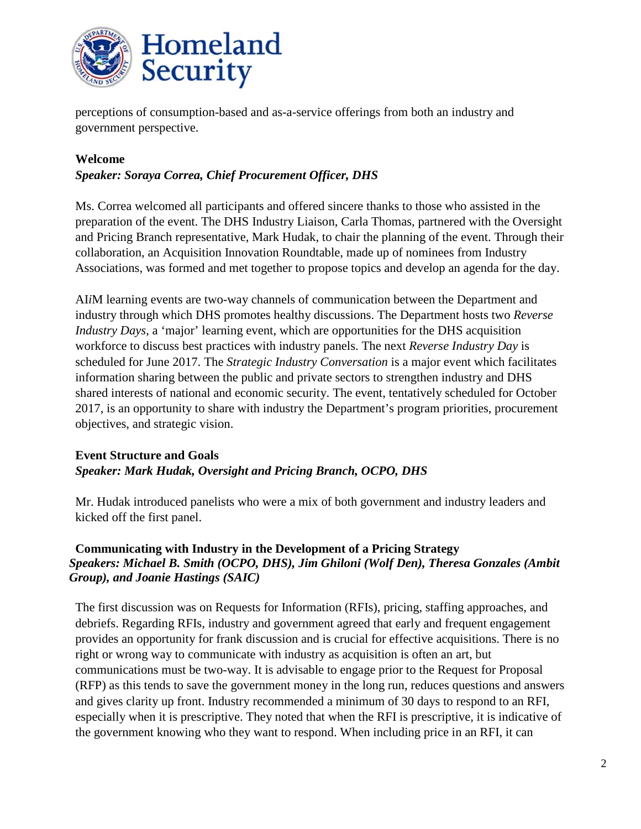

perceptions of consumption-based and as-a-service offerings from both an industry and government perspective.

#### **Welcome**

#### *Speaker: Soraya Correa, Chief Procurement Officer, DHS*

Ms. Correa welcomed all participants and offered sincere thanks to those who assisted in the preparation of the event. The DHS Industry Liaison, Carla Thomas, partnered with the Oversight and Pricing Branch representative, Mark Hudak, to chair the planning of the event. Through their collaboration, an Acquisition Innovation Roundtable, made up of nominees from Industry Associations, was formed and met together to propose topics and develop an agenda for the day.

AI*i*M learning events are two-way channels of communication between the Department and industry through which DHS promotes healthy discussions. The Department hosts two *Reverse Industry Days*, a 'major' learning event, which are opportunities for the DHS acquisition workforce to discuss best practices with industry panels. The next *Reverse Industry Day* is scheduled for June 2017. The *Strategic Industry Conversation* is a major event which facilitates information sharing between the public and private sectors to strengthen industry and DHS shared interests of national and economic security. The event, tentatively scheduled for October 2017, is an opportunity to share with industry the Department's program priorities, procurement objectives, and strategic vision.

## **Event Structure and Goals** *Speaker: Mark Hudak, Oversight and Pricing Branch, OCPO, DHS*

Mr. Hudak introduced panelists who were a mix of both government and industry leaders and kicked off the first panel.

### **Communicating with Industry in the Development of a Pricing Strategy** *Speakers: Michael B. Smith (OCPO, DHS), Jim Ghiloni (Wolf Den), Theresa Gonzales (Ambit Group), and Joanie Hastings (SAIC)*

The first discussion was on Requests for Information (RFIs), pricing, staffing approaches, and debriefs. Regarding RFIs, industry and government agreed that early and frequent engagement provides an opportunity for frank discussion and is crucial for effective acquisitions. There is no right or wrong way to communicate with industry as acquisition is often an art, but communications must be two-way. It is advisable to engage prior to the Request for Proposal (RFP) as this tends to save the government money in the long run, reduces questions and answers and gives clarity up front. Industry recommended a minimum of 30 days to respond to an RFI, especially when it is prescriptive. They noted that when the RFI is prescriptive, it is indicative of the government knowing who they want to respond. When including price in an RFI, it can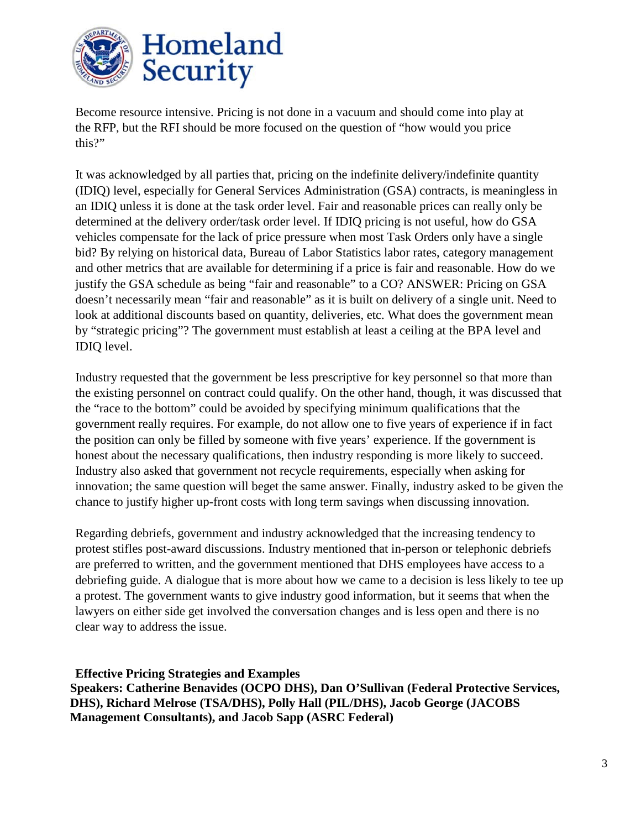

Become resource intensive. Pricing is not done in a vacuum and should come into play at the RFP, but the RFI should be more focused on the question of "how would you price this?"

It was acknowledged by all parties that, pricing on the indefinite delivery/indefinite quantity (IDIQ) level, especially for General Services Administration (GSA) contracts, is meaningless in an IDIQ unless it is done at the task order level. Fair and reasonable prices can really only be determined at the delivery order/task order level. If IDIQ pricing is not useful, how do GSA vehicles compensate for the lack of price pressure when most Task Orders only have a single bid? By relying on historical data, Bureau of Labor Statistics labor rates, category management and other metrics that are available for determining if a price is fair and reasonable. How do we justify the GSA schedule as being "fair and reasonable" to a CO? ANSWER: Pricing on GSA doesn't necessarily mean "fair and reasonable" as it is built on delivery of a single unit. Need to look at additional discounts based on quantity, deliveries, etc. What does the government mean by "strategic pricing"? The government must establish at least a ceiling at the BPA level and IDIQ level.

Industry requested that the government be less prescriptive for key personnel so that more than the existing personnel on contract could qualify. On the other hand, though, it was discussed that the "race to the bottom" could be avoided by specifying minimum qualifications that the government really requires. For example, do not allow one to five years of experience if in fact the position can only be filled by someone with five years' experience. If the government is honest about the necessary qualifications, then industry responding is more likely to succeed. Industry also asked that government not recycle requirements, especially when asking for innovation; the same question will beget the same answer. Finally, industry asked to be given the chance to justify higher up-front costs with long term savings when discussing innovation.

Regarding debriefs, government and industry acknowledged that the increasing tendency to protest stifles post-award discussions. Industry mentioned that in-person or telephonic debriefs are preferred to written, and the government mentioned that DHS employees have access to a debriefing guide. A dialogue that is more about how we came to a decision is less likely to tee up a protest. The government wants to give industry good information, but it seems that when the lawyers on either side get involved the conversation changes and is less open and there is no clear way to address the issue.

**Effective Pricing Strategies and Examples Speakers: Catherine Benavides (OCPO DHS), Dan O'Sullivan (Federal Protective Services, DHS), Richard Melrose (TSA/DHS), Polly Hall (PIL/DHS), Jacob George (JACOBS Management Consultants), and Jacob Sapp (ASRC Federal)**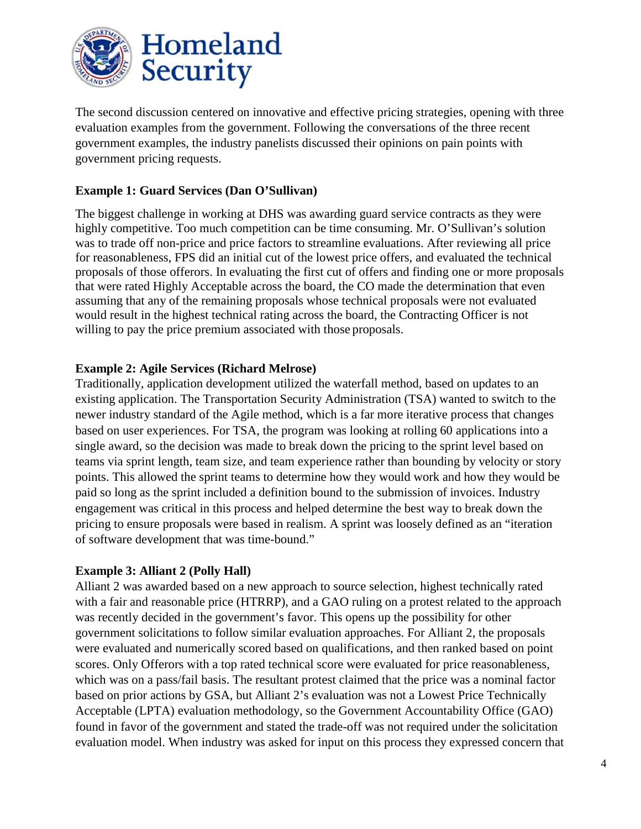

The second discussion centered on innovative and effective pricing strategies, opening with three evaluation examples from the government. Following the conversations of the three recent government examples, the industry panelists discussed their opinions on pain points with government pricing requests.

### **Example 1: Guard Services (Dan O'Sullivan)**

The biggest challenge in working at DHS was awarding guard service contracts as they were highly competitive. Too much competition can be time consuming. Mr. O'Sullivan's solution was to trade off non-price and price factors to streamline evaluations. After reviewing all price for reasonableness, FPS did an initial cut of the lowest price offers, and evaluated the technical proposals of those offerors. In evaluating the first cut of offers and finding one or more proposals that were rated Highly Acceptable across the board, the CO made the determination that even assuming that any of the remaining proposals whose technical proposals were not evaluated would result in the highest technical rating across the board, the Contracting Officer is not willing to pay the price premium associated with those proposals.

### **Example 2: Agile Services (Richard Melrose)**

Traditionally, application development utilized the waterfall method, based on updates to an existing application. The Transportation Security Administration (TSA) wanted to switch to the newer industry standard of the Agile method, which is a far more iterative process that changes based on user experiences. For TSA, the program was looking at rolling 60 applications into a single award, so the decision was made to break down the pricing to the sprint level based on teams via sprint length, team size, and team experience rather than bounding by velocity or story points. This allowed the sprint teams to determine how they would work and how they would be paid so long as the sprint included a definition bound to the submission of invoices. Industry engagement was critical in this process and helped determine the best way to break down the pricing to ensure proposals were based in realism. A sprint was loosely defined as an "iteration of software development that was time-bound."

### **Example 3: Alliant 2 (Polly Hall)**

Alliant 2 was awarded based on a new approach to source selection, highest technically rated with a fair and reasonable price (HTRRP), and a GAO ruling on a protest related to the approach was recently decided in the government's favor. This opens up the possibility for other government solicitations to follow similar evaluation approaches. For Alliant 2, the proposals were evaluated and numerically scored based on qualifications, and then ranked based on point scores. Only Offerors with a top rated technical score were evaluated for price reasonableness, which was on a pass/fail basis. The resultant protest claimed that the price was a nominal factor based on prior actions by GSA, but Alliant 2's evaluation was not a Lowest Price Technically Acceptable (LPTA) evaluation methodology, so the Government Accountability Office (GAO) found in favor of the government and stated the trade-off was not required under the solicitation evaluation model. When industry was asked for input on this process they expressed concern that